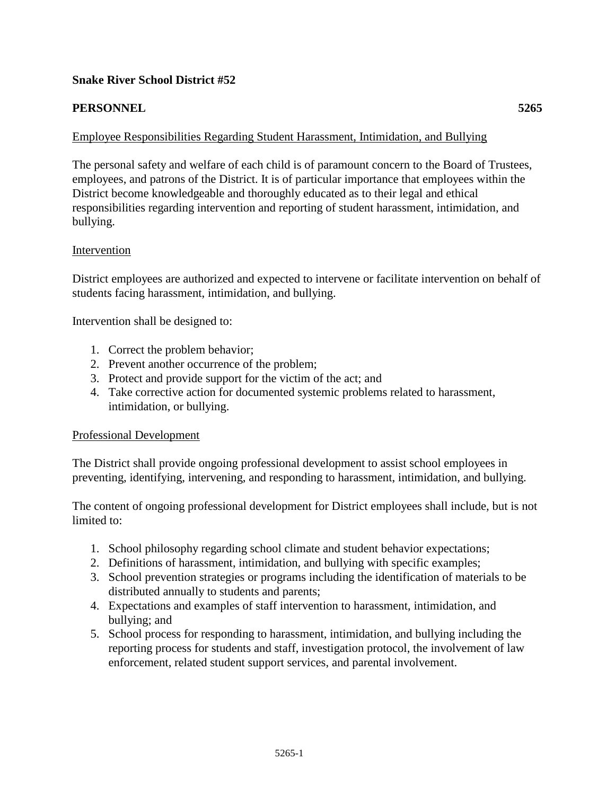## **Snake River School District #52**

## **PERSONNEL 5265**

# Employee Responsibilities Regarding Student Harassment, Intimidation, and Bullying

The personal safety and welfare of each child is of paramount concern to the Board of Trustees, employees, and patrons of the District. It is of particular importance that employees within the District become knowledgeable and thoroughly educated as to their legal and ethical responsibilities regarding intervention and reporting of student harassment, intimidation, and bullying.

### Intervention

District employees are authorized and expected to intervene or facilitate intervention on behalf of students facing harassment, intimidation, and bullying.

Intervention shall be designed to:

- 1. Correct the problem behavior;
- 2. Prevent another occurrence of the problem;
- 3. Protect and provide support for the victim of the act; and
- 4. Take corrective action for documented systemic problems related to harassment, intimidation, or bullying.

### Professional Development

The District shall provide ongoing professional development to assist school employees in preventing, identifying, intervening, and responding to harassment, intimidation, and bullying.

The content of ongoing professional development for District employees shall include, but is not limited to:

- 1. School philosophy regarding school climate and student behavior expectations;
- 2. Definitions of harassment, intimidation, and bullying with specific examples;
- 3. School prevention strategies or programs including the identification of materials to be distributed annually to students and parents;
- 4. Expectations and examples of staff intervention to harassment, intimidation, and bullying; and
- 5. School process for responding to harassment, intimidation, and bullying including the reporting process for students and staff, investigation protocol, the involvement of law enforcement, related student support services, and parental involvement.